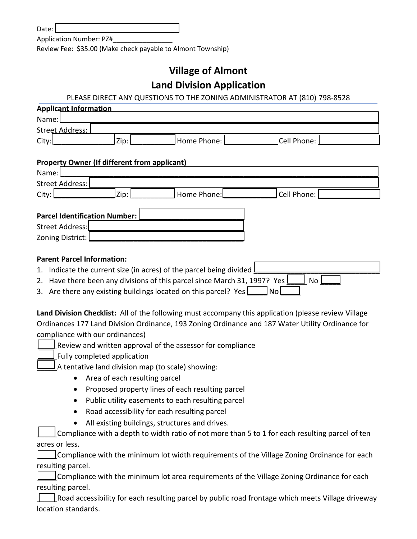Date:

Application Number: PZ#\_\_\_\_\_\_\_\_\_\_\_\_\_\_\_\_

Review Fee: \$35.00 (Make check payable to Almont Township)

## **Village of Almont Land Division Application**

## PLEASE DIRECT ANY QUESTIONS TO THE ZONING ADMINISTRATOR AT (810) 798-8528

| <b>Applicant Information</b>                                                                         |  |  |
|------------------------------------------------------------------------------------------------------|--|--|
| Name:                                                                                                |  |  |
| <b>Street Address:</b>                                                                               |  |  |
| Zip:<br>Home Phone:<br>Cell Phone:<br>City:                                                          |  |  |
|                                                                                                      |  |  |
| <b>Property Owner (If different from applicant)</b>                                                  |  |  |
| Name:                                                                                                |  |  |
| <b>Street Address:</b>                                                                               |  |  |
| Cell Phone:<br>City:<br>Zip:<br>Home Phone:                                                          |  |  |
| <b>Parcel Identification Number:</b>                                                                 |  |  |
| <b>Street Address:</b>                                                                               |  |  |
| Zoning District:                                                                                     |  |  |
|                                                                                                      |  |  |
| <b>Parent Parcel Information:</b>                                                                    |  |  |
| 1. Indicate the current size (in acres) of the parcel being divided                                  |  |  |
| 2. Have there been any divisions of this parcel since March 31, 1997? Yes l<br>No                    |  |  |
| 3. Are there any existing buildings located on this parcel? Yes $\Box$ No                            |  |  |
|                                                                                                      |  |  |
| Land Division Checklist: All of the following must accompany this application (please review Village |  |  |
| Ordinances 177 Land Division Ordinance, 193 Zoning Ordinance and 187 Water Utility Ordinance for     |  |  |
| compliance with our ordinances)                                                                      |  |  |
| Review and written approval of the assessor for compliance                                           |  |  |
| Fully completed application                                                                          |  |  |
| A tentative land division map (to scale) showing:                                                    |  |  |
| Area of each resulting parcel<br>$\bullet$                                                           |  |  |
| Proposed property lines of each resulting parcel<br>$\bullet$                                        |  |  |
| Public utility easements to each resulting parcel<br>$\bullet$                                       |  |  |
| Road accessibility for each resulting parcel                                                         |  |  |
| All existing buildings, structures and drives.                                                       |  |  |
| Compliance with a depth to width ratio of not more than 5 to 1 for each resulting parcel of ten      |  |  |
| acres or less.                                                                                       |  |  |
| Compliance with the minimum lot width requirements of the Village Zoning Ordinance for each          |  |  |
|                                                                                                      |  |  |

 $\exists$  Compliance with the minimum lot area requirements of the Village Zoning Ordinance for each resulting parcel.

 $\Box$  Road accessibility for each resulting parcel by public road frontage which meets Village driveway location standards.